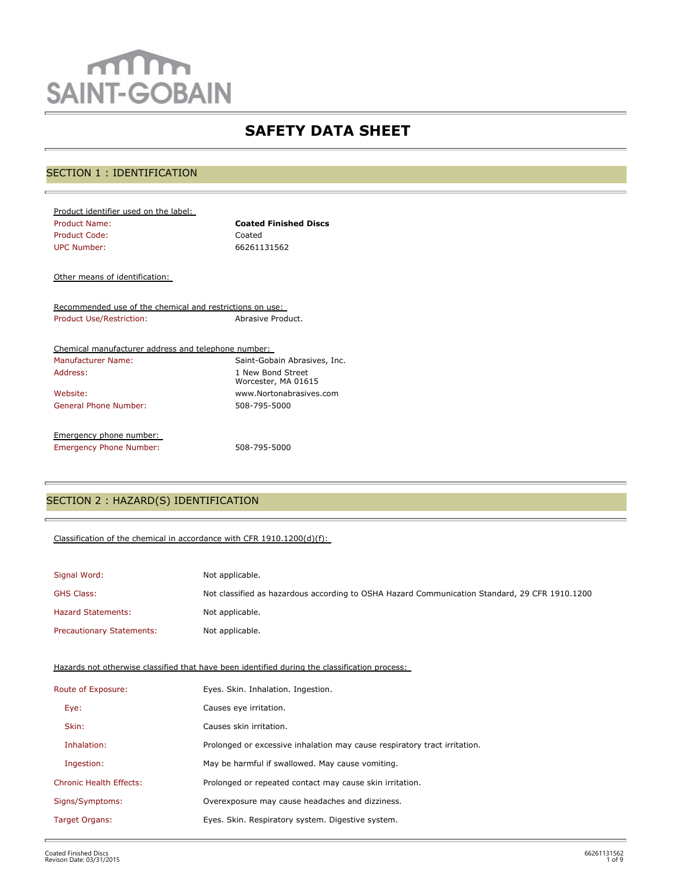# mm **SAINT-GOBAIN**

# **SAFETY DATA SHEET**

# SECTION 1 : IDENTIFICATION

| Product identifier used on the label: |                              |
|---------------------------------------|------------------------------|
| Product Name:                         | <b>Coated Finished Discs</b> |
| Product Code:                         | Coated                       |
| <b>UPC Number:</b>                    | 66261131562                  |

Other means of identification:

Recommended use of the chemical and restrictions on use: Product Use/Restriction: Abrasive Product.

| Chemical manufacturer address and telephone number: |                                          |
|-----------------------------------------------------|------------------------------------------|
| Manufacturer Name:                                  | Saint-Gobain Abrasives, Inc.             |
| Address:                                            | 1 New Bond Street<br>Worcester, MA 01615 |
| Website:                                            | www.Nortonabrasives.com                  |
| General Phone Number:                               | 508-795-5000                             |
| Emergency phone number:                             |                                          |
| <b>Emergency Phone Number:</b>                      | 508-795-5000                             |

# SECTION 2 : HAZARD(S) IDENTIFICATION

#### Classification of the chemical in accordance with CFR 1910.1200(d)(f):

| Signal Word:                     | Not applicable.                                                                               |
|----------------------------------|-----------------------------------------------------------------------------------------------|
| <b>GHS Class:</b>                | Not classified as hazardous according to OSHA Hazard Communication Standard, 29 CFR 1910.1200 |
| <b>Hazard Statements:</b>        | Not applicable.                                                                               |
| <b>Precautionary Statements:</b> | Not applicable.                                                                               |

Hazards not otherwise classified that have been identified during the classification process:

| Route of Exposure:             | Eyes. Skin. Inhalation. Ingestion.                                        |
|--------------------------------|---------------------------------------------------------------------------|
| Eye:                           | Causes eye irritation.                                                    |
| Skin:                          | Causes skin irritation.                                                   |
| Inhalation:                    | Prolonged or excessive inhalation may cause respiratory tract irritation. |
| Ingestion:                     | May be harmful if swallowed. May cause vomiting.                          |
| <b>Chronic Health Effects:</b> | Prolonged or repeated contact may cause skin irritation.                  |
| Signs/Symptoms:                | Overexposure may cause headaches and dizziness.                           |
| Target Organs:                 | Eyes. Skin. Respiratory system. Digestive system.                         |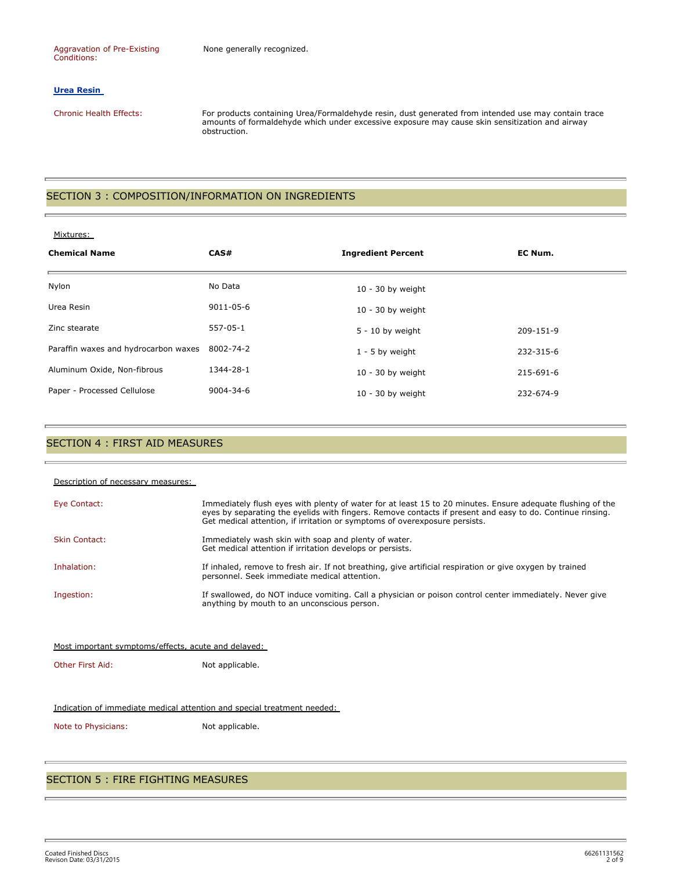#### **Urea Resin**

Chronic Health Effects: For products containing Urea/Formaldehyde resin, dust generated from intended use may contain trace amounts of formaldehyde which under excessive exposure may cause skin sensitization and airway obstruction.

#### SECTION 3 : COMPOSITION/INFORMATION ON INGREDIENTS

#### Mixtures:

| <b>Chemical Name</b>                 | CAS#            | <b>Ingredient Percent</b> | EC Num.   |
|--------------------------------------|-----------------|---------------------------|-----------|
| Nylon                                | No Data         | $10 - 30$ by weight       |           |
| Urea Resin                           | 9011-05-6       | $10 - 30$ by weight       |           |
| Zinc stearate                        | $557-05-1$      | $5 - 10$ by weight        | 209-151-9 |
| Paraffin waxes and hydrocarbon waxes | 8002-74-2       | $1 - 5$ by weight         | 232-315-6 |
| Aluminum Oxide, Non-fibrous          | 1344-28-1       | $10 - 30$ by weight       | 215-691-6 |
| Paper - Processed Cellulose          | $9004 - 34 - 6$ | $10 - 30$ by weight       | 232-674-9 |

#### SECTION 4 : FIRST AID MEASURES

| Description of necessary measures:                                      |                                                                                                                                                                                                                                                                                                       |
|-------------------------------------------------------------------------|-------------------------------------------------------------------------------------------------------------------------------------------------------------------------------------------------------------------------------------------------------------------------------------------------------|
| Eye Contact:                                                            | Immediately flush eyes with plenty of water for at least 15 to 20 minutes. Ensure adequate flushing of the<br>eyes by separating the eyelids with fingers. Remove contacts if present and easy to do. Continue rinsing.<br>Get medical attention, if irritation or symptoms of overexposure persists. |
| <b>Skin Contact:</b>                                                    | Immediately wash skin with soap and plenty of water.<br>Get medical attention if irritation develops or persists.                                                                                                                                                                                     |
| Inhalation:                                                             | If inhaled, remove to fresh air. If not breathing, give artificial respiration or give oxygen by trained<br>personnel. Seek immediate medical attention.                                                                                                                                              |
| Ingestion:                                                              | If swallowed, do NOT induce vomiting. Call a physician or poison control center immediately. Never give<br>anything by mouth to an unconscious person.                                                                                                                                                |
| Most important symptoms/effects, acute and delayed:                     |                                                                                                                                                                                                                                                                                                       |
| Other First Aid:                                                        | Not applicable.                                                                                                                                                                                                                                                                                       |
|                                                                         |                                                                                                                                                                                                                                                                                                       |
| Indication of immediate medical attention and special treatment needed: |                                                                                                                                                                                                                                                                                                       |

Note to Physicians: Not applicable.

# SECTION 5 : FIRE FIGHTING MEASURES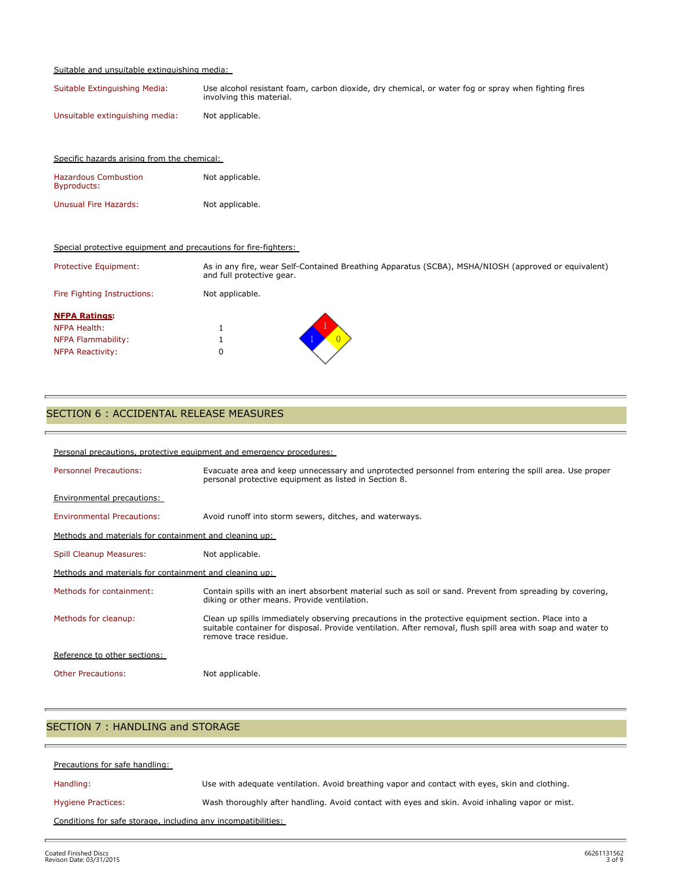#### Suitable and unsuitable extinguishing media:

Specific hazards arising from the chemical:

| Suitable Extinguishing Media:   | Use alcohol resistant foam, carbon dioxide, dry chemical, or water fog or spray when fighting fires<br>involving this material. |
|---------------------------------|---------------------------------------------------------------------------------------------------------------------------------|
| Unsuitable extinguishing media: | Not applicable.                                                                                                                 |

| <b>Hazardous Combustion</b><br><b>Byproducts:</b>               | Not applicable.                                                                                                                  |
|-----------------------------------------------------------------|----------------------------------------------------------------------------------------------------------------------------------|
| <b>Unusual Fire Hazards:</b>                                    | Not applicable.                                                                                                                  |
| Special protective equipment and precautions for fire-fighters: |                                                                                                                                  |
| Protective Equipment:                                           | As in any fire, wear Self-Contained Breathing Apparatus (SCBA), MSHA/NIOSH (approved or equivalent)<br>and full protective gear. |
| Fire Fighting Instructions:                                     | Not applicable.                                                                                                                  |
| <b>NFPA Ratings:</b>                                            |                                                                                                                                  |
| NFPA Health:                                                    | Ŧ.                                                                                                                               |
| NFPA Flammability:                                              | Ŧ.                                                                                                                               |
| <b>NFPA Reactivity:</b>                                         | 0                                                                                                                                |

# SECTION 6 : ACCIDENTAL RELEASE MEASURES

| Personal precautions, protective equipment and emergency procedures: |                                                                                                                                                                                                                                              |  |  |
|----------------------------------------------------------------------|----------------------------------------------------------------------------------------------------------------------------------------------------------------------------------------------------------------------------------------------|--|--|
| <b>Personnel Precautions:</b>                                        | Evacuate area and keep unnecessary and unprotected personnel from entering the spill area. Use proper<br>personal protective equipment as listed in Section 8.                                                                               |  |  |
| <b>Environmental precautions:</b>                                    |                                                                                                                                                                                                                                              |  |  |
| <b>Environmental Precautions:</b>                                    | Avoid runoff into storm sewers, ditches, and waterways.                                                                                                                                                                                      |  |  |
| Methods and materials for containment and cleaning up:               |                                                                                                                                                                                                                                              |  |  |
| <b>Spill Cleanup Measures:</b>                                       | Not applicable.                                                                                                                                                                                                                              |  |  |
| Methods and materials for containment and cleaning up:               |                                                                                                                                                                                                                                              |  |  |
| Methods for containment:                                             | Contain spills with an inert absorbent material such as soil or sand. Prevent from spreading by covering,<br>diking or other means. Provide ventilation.                                                                                     |  |  |
| Methods for cleanup:                                                 | Clean up spills immediately observing precautions in the protective equipment section. Place into a<br>suitable container for disposal. Provide ventilation. After removal, flush spill area with soap and water to<br>remove trace residue. |  |  |
| Reference to other sections:                                         |                                                                                                                                                                                                                                              |  |  |
| <b>Other Precautions:</b>                                            | Not applicable.                                                                                                                                                                                                                              |  |  |

# SECTION 7 : HANDLING and STORAGE

| Precautions for safe handling:                                |                                                                                                 |
|---------------------------------------------------------------|-------------------------------------------------------------------------------------------------|
| Handling:                                                     | Use with adequate ventilation. Avoid breathing vapor and contact with eyes, skin and clothing.  |
| <b>Hygiene Practices:</b>                                     | Wash thoroughly after handling. Avoid contact with eyes and skin. Avoid inhaling vapor or mist. |
| Conditions for safe storage, including any incompatibilities: |                                                                                                 |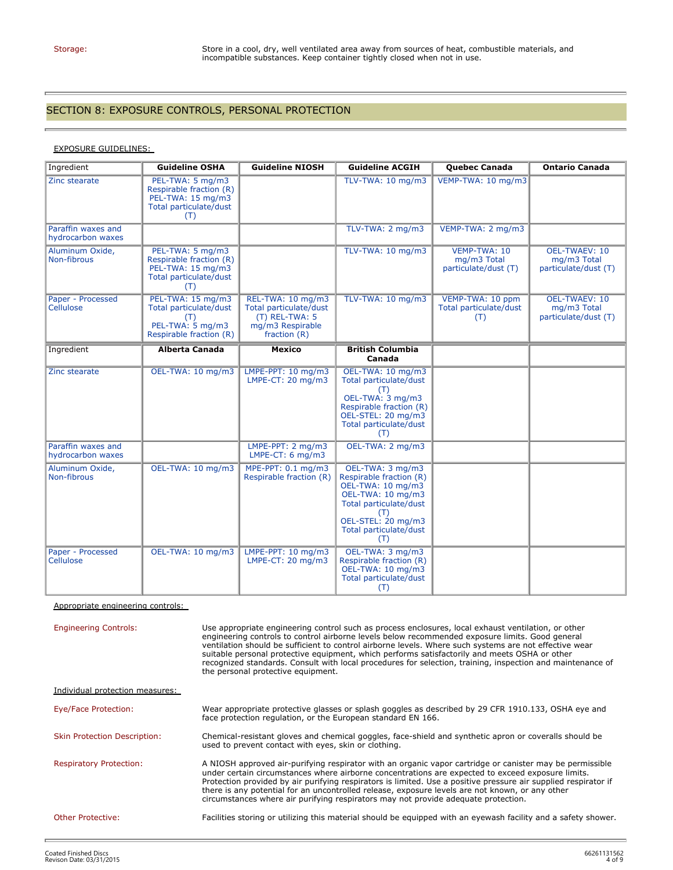b

# SECTION 8: EXPOSURE CONTROLS, PERSONAL PROTECTION

# EXPOSURE GUIDELINES:

| Ingredient                              | <b>Guideline OSHA</b>                                                                             | <b>Guideline NIOSH</b>                                                                              | <b>Guideline ACGIH</b>                                                                                                                                                        | <b>Quebec Canada</b>                                | <b>Ontario Canada</b>                                       |
|-----------------------------------------|---------------------------------------------------------------------------------------------------|-----------------------------------------------------------------------------------------------------|-------------------------------------------------------------------------------------------------------------------------------------------------------------------------------|-----------------------------------------------------|-------------------------------------------------------------|
| Zinc stearate                           | PEL-TWA: 5 mg/m3<br>Respirable fraction (R)<br>PEL-TWA: 15 mg/m3<br>Total particulate/dust<br>(T) |                                                                                                     | TLV-TWA: 10 mg/m3                                                                                                                                                             | VEMP-TWA: 10 mg/m3                                  |                                                             |
| Paraffin waxes and<br>hydrocarbon waxes |                                                                                                   |                                                                                                     | TLV-TWA: 2 mg/m3                                                                                                                                                              | VEMP-TWA: 2 mg/m3                                   |                                                             |
| Aluminum Oxide,<br>Non-fibrous          | PEL-TWA: 5 mg/m3<br>Respirable fraction (R)<br>PEL-TWA: 15 mg/m3<br>Total particulate/dust<br>(T) |                                                                                                     | TLV-TWA: 10 mg/m3                                                                                                                                                             | VEMP-TWA: 10<br>mg/m3 Total<br>particulate/dust (T) | <b>OEL-TWAEV: 10</b><br>mg/m3 Total<br>particulate/dust (T) |
| Paper - Processed<br>Cellulose          | PEL-TWA: 15 mg/m3<br>Total particulate/dust<br>(T)<br>PEL-TWA: 5 mg/m3<br>Respirable fraction (R) | REL-TWA: 10 mg/m3<br>Total particulate/dust<br>$(T)$ REL-TWA: 5<br>mg/m3 Respirable<br>fraction (R) | TLV-TWA: 10 mg/m3                                                                                                                                                             | VEMP-TWA: 10 ppm<br>Total particulate/dust<br>(T)   | <b>OEL-TWAEV: 10</b><br>mg/m3 Total<br>particulate/dust (T) |
| Ingredient                              | Alberta Canada                                                                                    | <b>Mexico</b>                                                                                       | <b>British Columbia</b><br>Canada                                                                                                                                             |                                                     |                                                             |
| Zinc stearate                           | OEL-TWA: 10 mg/m3                                                                                 | LMPE-PPT: 10 mg/m3<br>LMPE-CT: 20 mg/m3                                                             | OEL-TWA: 10 mg/m3<br>Total particulate/dust<br>(T)<br>OEL-TWA: 3 mg/m3<br>Respirable fraction (R)<br>OEL-STEL: 20 mg/m3<br>Total particulate/dust<br>(T)                      |                                                     |                                                             |
| Paraffin waxes and<br>hydrocarbon waxes |                                                                                                   | LMPE-PPT: 2 mg/m3<br>LMPE-CT: $6 \text{ mg/m3}$                                                     | OEL-TWA: 2 mg/m3                                                                                                                                                              |                                                     |                                                             |
| Aluminum Oxide,<br>Non-fibrous          | OEL-TWA: 10 mg/m3                                                                                 | MPE-PPT: 0.1 mg/m3<br>Respirable fraction (R)                                                       | OEL-TWA: 3 mg/m3<br>Respirable fraction (R)<br>OEL-TWA: 10 mg/m3<br>OEL-TWA: 10 mg/m3<br>Total particulate/dust<br>(T)<br>OEL-STEL: 20 mg/m3<br>Total particulate/dust<br>(T) |                                                     |                                                             |
| Paper - Processed<br>Cellulose          | OEL-TWA: 10 mg/m3                                                                                 | LMPE-PPT: 10 mg/m3<br>LMPE-CT: 20 mg/m3                                                             | OEL-TWA: 3 mg/m3<br>Respirable fraction (R)<br>OEL-TWA: 10 mg/m3<br>Total particulate/dust<br>(T)                                                                             |                                                     |                                                             |

Appropriate engineering controls:

| <b>Engineering Controls:</b>        | Use appropriate engineering control such as process enclosures, local exhaust ventilation, or other<br>engineering controls to control airborne levels below recommended exposure limits. Good general<br>ventilation should be sufficient to control airborne levels. Where such systems are not effective wear<br>suitable personal protective equipment, which performs satisfactorily and meets OSHA or other<br>recognized standards. Consult with local procedures for selection, training, inspection and maintenance of<br>the personal protective equipment. |
|-------------------------------------|-----------------------------------------------------------------------------------------------------------------------------------------------------------------------------------------------------------------------------------------------------------------------------------------------------------------------------------------------------------------------------------------------------------------------------------------------------------------------------------------------------------------------------------------------------------------------|
| Individual protection measures:     |                                                                                                                                                                                                                                                                                                                                                                                                                                                                                                                                                                       |
| Eye/Face Protection:                | Wear appropriate protective glasses or splash goggles as described by 29 CFR 1910.133, OSHA eye and<br>face protection regulation, or the European standard EN 166.                                                                                                                                                                                                                                                                                                                                                                                                   |
| <b>Skin Protection Description:</b> | Chemical-resistant gloves and chemical goggles, face-shield and synthetic apron or coveralls should be<br>used to prevent contact with eyes, skin or clothing.                                                                                                                                                                                                                                                                                                                                                                                                        |
| <b>Respiratory Protection:</b>      | A NIOSH approved air-purifying respirator with an organic vapor cartridge or canister may be permissible<br>under certain circumstances where airborne concentrations are expected to exceed exposure limits.<br>Protection provided by air purifying respirators is limited. Use a positive pressure air supplied respirator if<br>there is any potential for an uncontrolled release, exposure levels are not known, or any other<br>circumstances where air purifying respirators may not provide adequate protection.                                             |
| Other Protective:                   | Facilities storing or utilizing this material should be equipped with an eyewash facility and a safety shower.                                                                                                                                                                                                                                                                                                                                                                                                                                                        |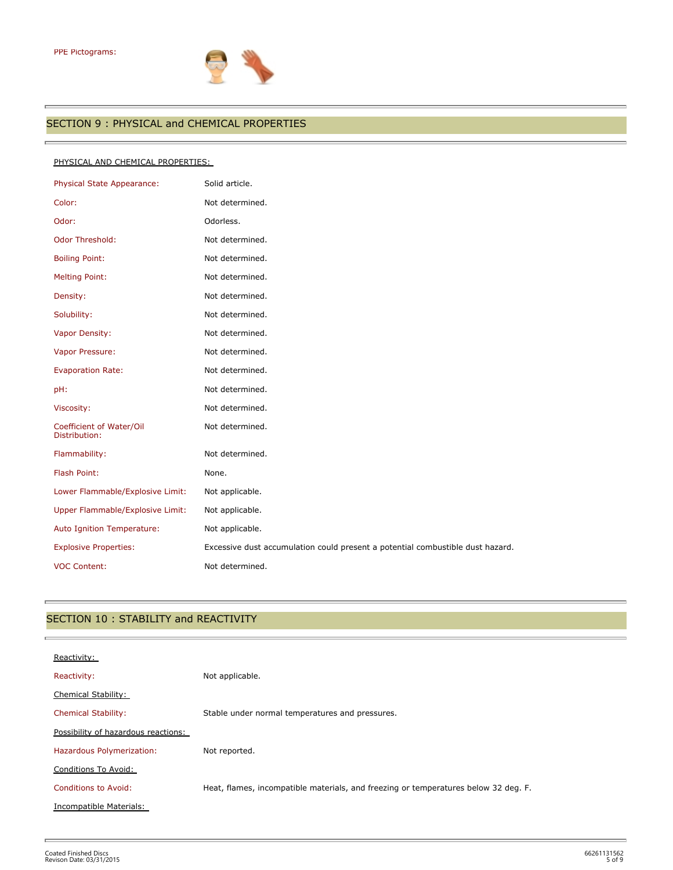Ē.



# SECTION 9 : PHYSICAL and CHEMICAL PROPERTIES

#### PHYSICAL AND CHEMICAL PROPERTIES:

| Solid article.                                                                 |
|--------------------------------------------------------------------------------|
| Not determined.                                                                |
| Odorless.                                                                      |
| Not determined.                                                                |
| Not determined.                                                                |
| Not determined.                                                                |
| Not determined.                                                                |
| Not determined.                                                                |
| Not determined.                                                                |
| Not determined.                                                                |
| Not determined.                                                                |
| Not determined.                                                                |
| Not determined.                                                                |
| Not determined.                                                                |
| Not determined.                                                                |
| None.                                                                          |
| Not applicable.                                                                |
| Not applicable.                                                                |
| Not applicable.                                                                |
| Excessive dust accumulation could present a potential combustible dust hazard. |
| Not determined.                                                                |
|                                                                                |

# SECTION 10 : STABILITY and REACTIVITY

| Reactivity:                         |                                                                                     |
|-------------------------------------|-------------------------------------------------------------------------------------|
| Reactivity:                         | Not applicable.                                                                     |
| Chemical Stability:                 |                                                                                     |
| <b>Chemical Stability:</b>          | Stable under normal temperatures and pressures.                                     |
| Possibility of hazardous reactions: |                                                                                     |
| Hazardous Polymerization:           | Not reported.                                                                       |
| Conditions To Avoid:                |                                                                                     |
| <b>Conditions to Avoid:</b>         | Heat, flames, incompatible materials, and freezing or temperatures below 32 deg. F. |
| Incompatible Materials:             |                                                                                     |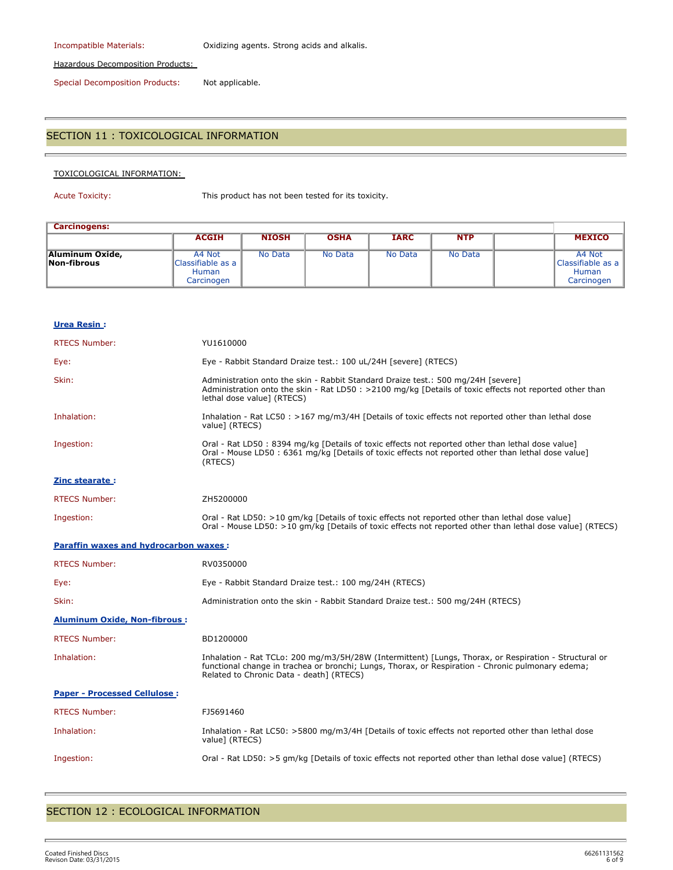Incompatible Materials: Oxidizing agents. Strong acids and alkalis.

Hazardous Decomposition Products:

Special Decomposition Products: Not applicable.

# SECTION 11 : TOXICOLOGICAL INFORMATION

#### TOXICOLOGICAL INFORMATION:

Acute Toxicity: This product has not been tested for its toxicity.

| <b>Carcinogens:</b>            |                                                           |              |             |                |            |                                                           |
|--------------------------------|-----------------------------------------------------------|--------------|-------------|----------------|------------|-----------------------------------------------------------|
|                                | <b>ACGIH</b>                                              | <b>NIOSH</b> | <b>OSHA</b> | <b>IARC</b>    | <b>NTP</b> | <b>MEXICO</b>                                             |
| Aluminum Oxide,<br>Non-fibrous | A4 Not<br>Classifiable as a<br><b>Human</b><br>Carcinogen | No Data      | No Data     | <b>No Data</b> | No Data    | A4 Not<br>Classifiable as a<br><b>Human</b><br>Carcinogen |

| Urea Resin:                                  |                                                                                                                                                                                                                                                        |
|----------------------------------------------|--------------------------------------------------------------------------------------------------------------------------------------------------------------------------------------------------------------------------------------------------------|
| <b>RTECS Number:</b>                         | YU1610000                                                                                                                                                                                                                                              |
| Eye:                                         | Eye - Rabbit Standard Draize test.: 100 uL/24H [severe] (RTECS)                                                                                                                                                                                        |
| Skin:                                        | Administration onto the skin - Rabbit Standard Draize test.: 500 mg/24H [severe]<br>Administration onto the skin - Rat LD50 : >2100 mg/kg [Details of toxic effects not reported other than<br>lethal dose value] (RTECS)                              |
| Inhalation:                                  | Inhalation - Rat LC50 : >167 mg/m3/4H [Details of toxic effects not reported other than lethal dose<br>value] (RTECS)                                                                                                                                  |
| Ingestion:                                   | Oral - Rat LD50: 8394 mg/kg [Details of toxic effects not reported other than lethal dose value]<br>Oral - Mouse LD50 : 6361 mg/kg [Details of toxic effects not reported other than lethal dose value]<br>(RTECS)                                     |
| Zinc stearate:                               |                                                                                                                                                                                                                                                        |
| <b>RTECS Number:</b>                         | ZH5200000                                                                                                                                                                                                                                              |
| Ingestion:                                   | Oral - Rat LD50: >10 gm/kg [Details of toxic effects not reported other than lethal dose value]<br>Oral - Mouse LD50: >10 gm/kg [Details of toxic effects not reported other than lethal dose value] (RTECS)                                           |
| <b>Paraffin waxes and hydrocarbon waxes:</b> |                                                                                                                                                                                                                                                        |
| <b>RTECS Number:</b>                         | RV0350000                                                                                                                                                                                                                                              |
| Eye:                                         | Eye - Rabbit Standard Draize test.: 100 mg/24H (RTECS)                                                                                                                                                                                                 |
| Skin:                                        | Administration onto the skin - Rabbit Standard Draize test.: 500 mg/24H (RTECS)                                                                                                                                                                        |
| <b>Aluminum Oxide, Non-fibrous:</b>          |                                                                                                                                                                                                                                                        |
| <b>RTECS Number:</b>                         | BD1200000                                                                                                                                                                                                                                              |
| Inhalation:                                  | Inhalation - Rat TCLo: 200 mg/m3/5H/28W (Intermittent) [Lungs, Thorax, or Respiration - Structural or<br>functional change in trachea or bronchi; Lungs, Thorax, or Respiration - Chronic pulmonary edema;<br>Related to Chronic Data - death] (RTECS) |
| <b>Paper - Processed Cellulose:</b>          |                                                                                                                                                                                                                                                        |
| <b>RTECS Number:</b>                         | FJ5691460                                                                                                                                                                                                                                              |
| Inhalation:                                  | Inhalation - Rat LC50: >5800 mg/m3/4H [Details of toxic effects not reported other than lethal dose<br>value] (RTECS)                                                                                                                                  |
| Ingestion:                                   | Oral - Rat LD50: >5 gm/kg [Details of toxic effects not reported other than lethal dose value] (RTECS)                                                                                                                                                 |
|                                              |                                                                                                                                                                                                                                                        |

# SECTION 12 : ECOLOGICAL INFORMATION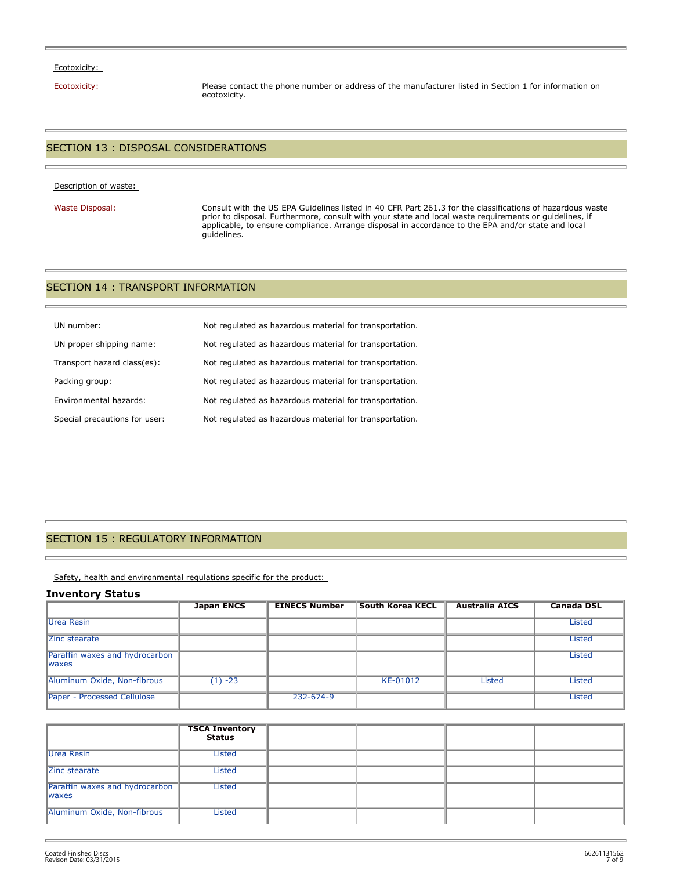#### Ecotoxicity:

Ecotoxicity: Please contact the phone number or address of the manufacturer listed in Section 1 for information on ecotoxicity.

### SECTION 13 : DISPOSAL CONSIDERATIONS

#### Description of waste:

Waste Disposal: Consult with the US EPA Guidelines listed in 40 CFR Part 261.3 for the classifications of hazardous waste prior to disposal. Furthermore, consult with your state and local waste requirements or guidelines, if applicable, to ensure compliance. Arrange disposal in accordance to the EPA and/or state and local guidelines.

#### SECTION 14 : TRANSPORT INFORMATION

| UN number:                    | Not regulated as hazardous material for transportation. |
|-------------------------------|---------------------------------------------------------|
| UN proper shipping name:      | Not regulated as hazardous material for transportation. |
| Transport hazard class(es):   | Not regulated as hazardous material for transportation. |
| Packing group:                | Not regulated as hazardous material for transportation. |
| Environmental hazards:        | Not regulated as hazardous material for transportation. |
| Special precautions for user: | Not regulated as hazardous material for transportation. |

#### SECTION 15 : REGULATORY INFORMATION

Safety, health and environmental regulations specific for the product:

#### **Inventory Status**

|                                                 | <b>Japan ENCS</b> | <b>EINECS Number</b> | <b>South Korea KECL</b> | <b>Australia AICS</b> | <b>Canada DSL</b> |
|-------------------------------------------------|-------------------|----------------------|-------------------------|-----------------------|-------------------|
| Urea Resin                                      |                   |                      |                         |                       | <b>Listed</b>     |
| Zinc stearate                                   |                   |                      |                         |                       | <b>Listed</b>     |
| Paraffin waxes and hydrocarbon<br><b>Iwaxes</b> |                   |                      |                         |                       | <b>Listed</b>     |
| Aluminum Oxide, Non-fibrous                     | $(1) -23$         |                      | KE-01012                | <b>Listed</b>         | Listed            |
| Paper - Processed Cellulose                     |                   | 232-674-9            |                         |                       | Listed            |

|                                                 | <b>TSCA Inventory</b><br><b>Status</b> |  |  |
|-------------------------------------------------|----------------------------------------|--|--|
| Urea Resin                                      | <b>Listed</b>                          |  |  |
| Zinc stearate                                   | Listed                                 |  |  |
| Paraffin waxes and hydrocarbon<br><b>Iwaxes</b> | Listed                                 |  |  |
| Aluminum Oxide, Non-fibrous                     | Listed                                 |  |  |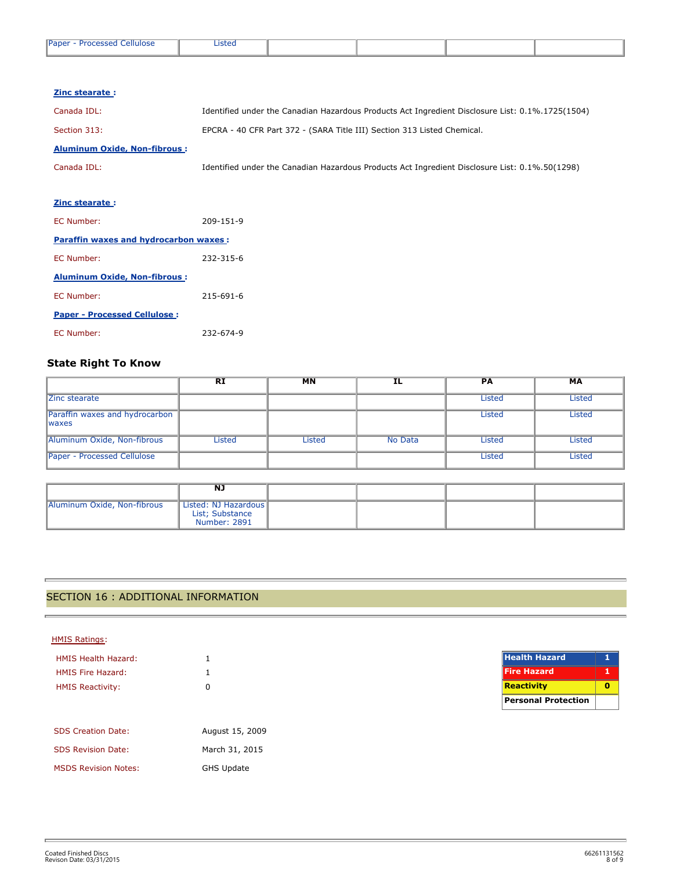| <b>Paper</b><br>repeared in<br>ellulose<br>. | .<br>LISLEU |  |  |
|----------------------------------------------|-------------|--|--|
|                                              |             |  |  |

| Zinc stearate:                               |                                                                                                  |
|----------------------------------------------|--------------------------------------------------------------------------------------------------|
| Canada IDL:                                  | Identified under the Canadian Hazardous Products Act Ingredient Disclosure List: 0.1%.1725(1504) |
| Section 313:                                 | EPCRA - 40 CFR Part 372 - (SARA Title III) Section 313 Listed Chemical.                          |
| <b>Aluminum Oxide, Non-fibrous:</b>          |                                                                                                  |
| Canada IDL:                                  | Identified under the Canadian Hazardous Products Act Ingredient Disclosure List: 0.1%.50(1298)   |
|                                              |                                                                                                  |
| <b>Zinc stearate:</b>                        |                                                                                                  |
| EC Number:                                   | 209-151-9                                                                                        |
| <b>Paraffin waxes and hydrocarbon waxes:</b> |                                                                                                  |
| EC Number:                                   | 232-315-6                                                                                        |
| <b>Aluminum Oxide, Non-fibrous:</b>          |                                                                                                  |
| EC Number:                                   | 215-691-6                                                                                        |
| <b>Paper - Processed Cellulose:</b>          |                                                                                                  |
| EC Number:                                   | 232-674-9                                                                                        |

# **State Right To Know**

|                                                 | <b>RI</b>     | <b>MN</b>     | IL      | <b>PA</b> | MA            |
|-------------------------------------------------|---------------|---------------|---------|-----------|---------------|
| Zinc stearate                                   |               |               |         | Listed    | Listed        |
| Paraffin waxes and hydrocarbon<br><b>Iwaxes</b> |               |               |         | Listed    | <b>Listed</b> |
| Aluminum Oxide, Non-fibrous                     | <b>Listed</b> | <b>Listed</b> | No Data | Listed    | Listed        |
| Paper - Processed Cellulose                     |               |               |         | Listed    | Listed        |

|                             | NJ                                                      |  |  |
|-----------------------------|---------------------------------------------------------|--|--|
| Aluminum Oxide, Non-fibrous | Listed: NJ Hazardous<br>List; Substance<br>Number: 2891 |  |  |

# SECTION 16 : ADDITIONAL INFORMATION

| <b>HMIS Ratings:</b>        |                   |                      |
|-----------------------------|-------------------|----------------------|
| <b>HMIS Health Hazard:</b>  |                   | <b>Health Hazard</b> |
| <b>HMIS Fire Hazard:</b>    |                   | <b>Fire Hazard</b>   |
| <b>HMIS Reactivity:</b>     | 0                 | Reactivity           |
|                             |                   | Personal Protection  |
|                             |                   |                      |
| <b>SDS Creation Date:</b>   | August 15, 2009   |                      |
| <b>SDS Revision Date:</b>   | March 31, 2015    |                      |
| <b>MSDS Revision Notes:</b> | <b>GHS Update</b> |                      |

r.